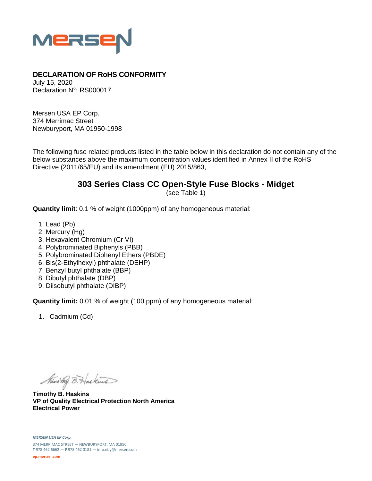

## **DECLARATION OF RoHS CONFORMITY**

July 15, 2020 Declaration N°: RS000017

Mersen USA EP Corp. 374 Merrimac Street Newburyport, MA 01950-1998

The following fuse related products listed in the table below in this declaration do not contain any of the below substances above the maximum concentration values identified in Annex II of the RoHS Directive (2011/65/EU) and its amendment (EU) 2015/863,

## **303 Series Class CC Open-Style Fuse Blocks - Midget**

(see Table 1)

**Quantity limit**: 0.1 % of weight (1000ppm) of any homogeneous material:

- 1. Lead (Pb)
- 2. Mercury (Hg)
- 3. Hexavalent Chromium (Cr VI)
- 4. Polybrominated Biphenyls (PBB)
- 5. Polybrominated Diphenyl Ethers (PBDE)
- 6. Bis(2-Ethylhexyl) phthalate (DEHP)
- 7. Benzyl butyl phthalate (BBP)
- 8. Dibutyl phthalate (DBP)
- 9. Diisobutyl phthalate (DIBP)

**Quantity limit:** 0.01 % of weight (100 ppm) of any homogeneous material:

1. Cadmium (Cd)

Nimo they B. Has kind

**Timothy B. Haskins VP of Quality Electrical Protection North America Electrical Power**